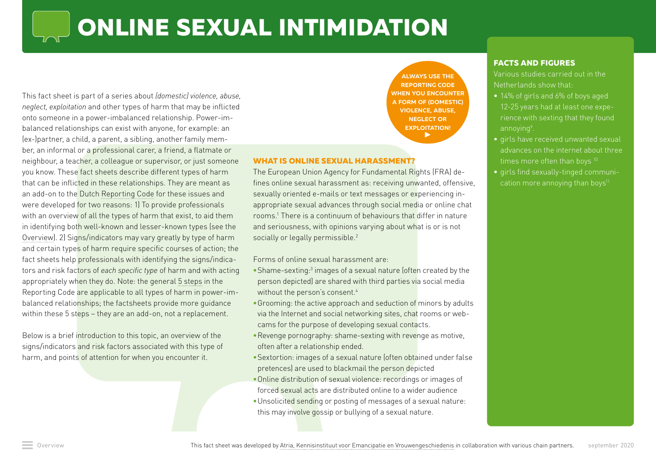# **ONLINE SEXUAL INTIMIDATION**

This fact sheet is part of a series about *(domestic) violence, abuse, neglect, exploitation* and other types of harm that may be inflicted onto someone in a power-imbalanced relationship. Power-imbalanced relationships can exist with anyone, for example: an (ex-)partner, a child, a parent, a sibling, another family member, an informal or a professional carer, a friend, a flatmate or neighbour, a teacher, a colleague or supervisor, or just someone you know. These fact sheets describe different types of harm that can be inflicted in these relationships. They are meant as an add-on to the Dutch [Reporting Code](https://www.rijksoverheid.nl/onderwerpen/huiselijk-geweld/meldcode) for these issues and were developed for two reasons: 1) To provide professionals with an overview of all the types of harm that exist, to aid them in identifying both well-known and lesser-known types (see the [Overview](https://www.huiselijkgeweld.nl/vormen)). 2) Signs/indicators may vary greatly by type of harm and certain types of harm require specific courses of action; the fact sheets help professionals with identifying the signs/indicators and risk factors of *each specific type* of harm and with acting appropriately when they do. Note: the general [5 steps](https://www.rijksoverheid.nl/onderwerpen/huiselijk-geweld/meldcode) in the Reporting Code are applicable to all types of harm in power-imbalanced relationships; the factsheets provide more guidance within these 5 steps – they are an add-on, not a replacement.

Below is a brief introduction to this topic, an overview of the signs/indicators and risk factors associated with this type of harm, and points of attention for when you encounter it.

**[ALWAYS USE THE](http://Always use the Reporting Code when you encounter a form of (domestic) violence, abuse, neglect or exploitation!)  [REPORTING CODE](http://Always use the Reporting Code when you encounter a form of (domestic) violence, abuse, neglect or exploitation!)  [WHEN YOU ENCOUNTER](https://www.rijksoverheid.nl/onderwerpen/huiselijk-geweld/meldcode)  [A FORM OF \(DOMESTIC\)](http://Always use the Reporting Code when you encounter a form of (domestic) violence, abuse, neglect or exploitation!)  [VIOLENCE, ABUSE,](http://Always use the Reporting Code when you encounter a form of (domestic) violence, abuse, neglect or exploitation!)  [NEGLECT OR](http://Always use the Reporting Code when you encounter a form of (domestic) violence, abuse, neglect or exploitation!)  [EXPLOITATION!](http://Always use the Reporting Code when you encounter a form of (domestic) violence, abuse, neglect or exploitation!)**  $\blacktriangleright$ 

## **WHAT IS ONLINE SEXUAL HARASSMENT?**

The European Union Agency for Fundamental Rights (FRA) defines online sexual harassment as: receiving unwanted, offensive, sexually oriented e-mails or text messages or experiencing inappropriate sexual advances through social media or online chat rooms.1 There is a continuum of behaviours that differ in nature and seriousness, with opinions varying about what is or is not socially or legally permissible.<sup>2</sup>

#### Forms of online sexual harassment are:

- Shame-sexting:<sup>3</sup> images of a sexual nature (often created by the person depicted) are shared with third parties via social media without the person's consent.<sup>4</sup>
- •Grooming: the active approach and seduction of minors by adults via the Internet and social networking sites, chat rooms or webcams for the purpose of developing sexual contacts.
- •Revenge pornography: shame-sexting with revenge as motive, often after a relationship ended.
- •Sextortion: images of a sexual nature (often obtained under false pretences) are used to blackmail the person depicted
- •Online distribution of sexual violence: recordings or images of forced sexual acts are distributed online to a wider audience
- •Unsolicited sending or posting of messages of a sexual nature: this may involve gossip or bullying of a sexual nature.

#### **FACTS AND FIGURES**

Various studies carried out in the Netherlands show that:

- **•** 14% of girls and 6% of boys aged rience with sexting that they found
- **•** girls have received unwanted sexual advances on the internet about three times more often than boys 10
- **•** girls find sexually-tinged communication more annoying than boys $11$